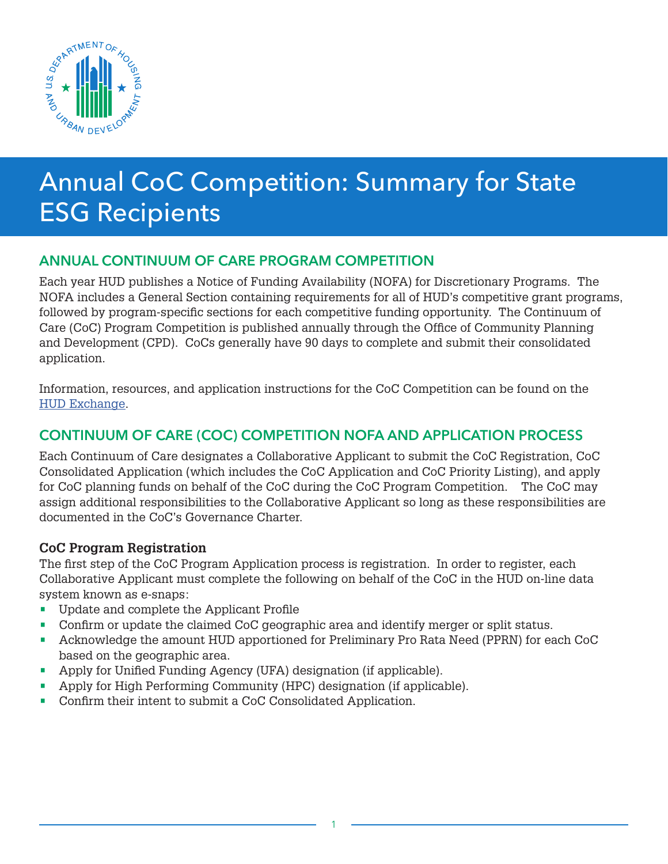

# Annual CoC Competition: Summary for State ESG Recipients

## ANNUAL CONTINUUM OF CARE PROGRAM COMPETITION

Each year HUD publishes a Notice of Funding Availability (NOFA) for Discretionary Programs. The NOFA includes a General Section containing requirements for all of HUD's competitive grant programs, followed by program-specific sections for each competitive funding opportunity. The Continuum of Care (CoC) Program Competition is published annually through the Office of Community Planning and Development (CPD). CoCs generally have 90 days to complete and submit their consolidated application.

Information, resources, and application instructions for the CoC Competition can be found on the [HUD Exchange.](https://www.hudexchange.info/)

## CONTINUUM OF CARE (COC) COMPETITION NOFA AND APPLICATION PROCESS

Each Continuum of Care designates a Collaborative Applicant to submit the CoC Registration, CoC Consolidated Application (which includes the CoC Application and CoC Priority Listing), and apply for CoC planning funds on behalf of the CoC during the CoC Program Competition. The CoC may assign additional responsibilities to the Collaborative Applicant so long as these responsibilities are documented in the CoC's Governance Charter.

#### **CoC Program Registration**

The first step of the CoC Program Application process is registration. In order to register, each Collaborative Applicant must complete the following on behalf of the CoC in the HUD on-line data system known as e-snaps:

- Update and complete the Applicant Profile
- Confirm or update the claimed CoC geographic area and identify merger or split status.
- Acknowledge the amount HUD apportioned for Preliminary Pro Rata Need (PPRN) for each CoC based on the geographic area.
- Apply for Unified Funding Agency (UFA) designation (if applicable).
- Apply for High Performing Community (HPC) designation (if applicable).
- Confirm their intent to submit a CoC Consolidated Application.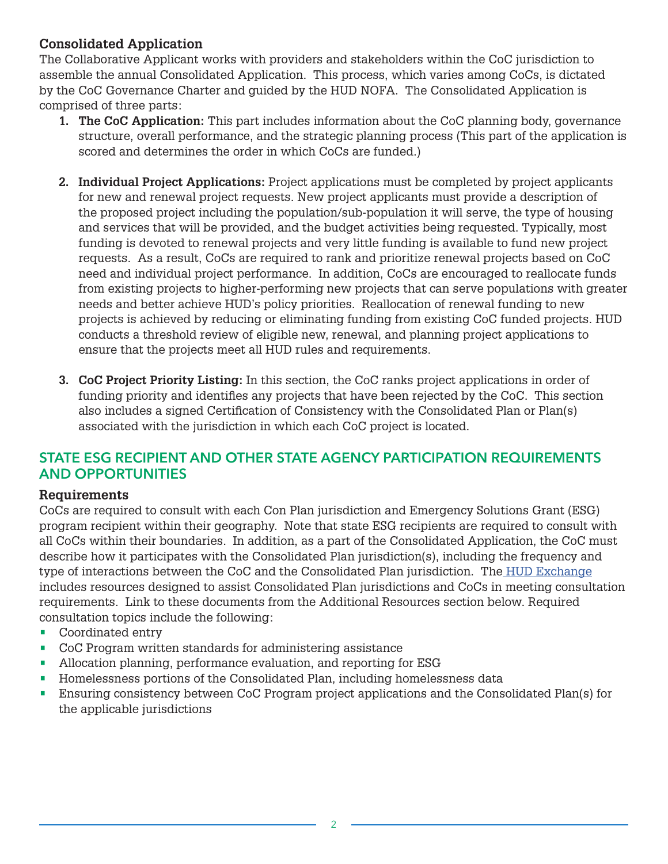#### **Consolidated Application**

The Collaborative Applicant works with providers and stakeholders within the CoC jurisdiction to assemble the annual Consolidated Application. This process, which varies among CoCs, is dictated by the CoC Governance Charter and guided by the HUD NOFA. The Consolidated Application is comprised of three parts:

- **1. The CoC Application:** This part includes information about the CoC planning body, governance structure, overall performance, and the strategic planning process (This part of the application is scored and determines the order in which CoCs are funded.)
- **2. Individual Project Applications:** Project applications must be completed by project applicants for new and renewal project requests. New project applicants must provide a description of the proposed project including the population/sub-population it will serve, the type of housing and services that will be provided, and the budget activities being requested. Typically, most funding is devoted to renewal projects and very little funding is available to fund new project requests. As a result, CoCs are required to rank and prioritize renewal projects based on CoC need and individual project performance. In addition, CoCs are encouraged to reallocate funds from existing projects to higher-performing new projects that can serve populations with greater needs and better achieve HUD's policy priorities. Reallocation of renewal funding to new projects is achieved by reducing or eliminating funding from existing CoC funded projects. HUD conducts a threshold review of eligible new, renewal, and planning project applications to ensure that the projects meet all HUD rules and requirements.
- **3. CoC Project Priority Listing:** In this section, the CoC ranks project applications in order of funding priority and identifies any projects that have been rejected by the CoC. This section also includes a signed Certification of Consistency with the Consolidated Plan or Plan(s) associated with the jurisdiction in which each CoC project is located.

## STATE ESG RECIPIENT AND OTHER STATE AGENCY PARTICIPATION REQUIREMENTS AND OPPORTUNITIES

#### **Requirements**

CoCs are required to consult with each Con Plan jurisdiction and Emergency Solutions Grant (ESG) program recipient within their geography. Note that state ESG recipients are required to consult with all CoCs within their boundaries. In addition, as a part of the Consolidated Application, the CoC must describe how it participates with the Consolidated Plan jurisdiction(s), including the frequency and type of interactions between the CoC and the Consolidated Plan jurisdiction. The [HUD Exchange](https://www.hudexchange.info/) includes resources designed to assist Consolidated Plan jurisdictions and CoCs in meeting consultation requirements. Link to these documents from the Additional Resources section below. Required consultation topics include the following:

- Coordinated entry
- CoC Program written standards for administering assistance
- Allocation planning, performance evaluation, and reporting for ESG
- Homelessness portions of the Consolidated Plan, including homelessness data
- Ensuring consistency between CoC Program project applications and the Consolidated Plan(s) for the applicable jurisdictions